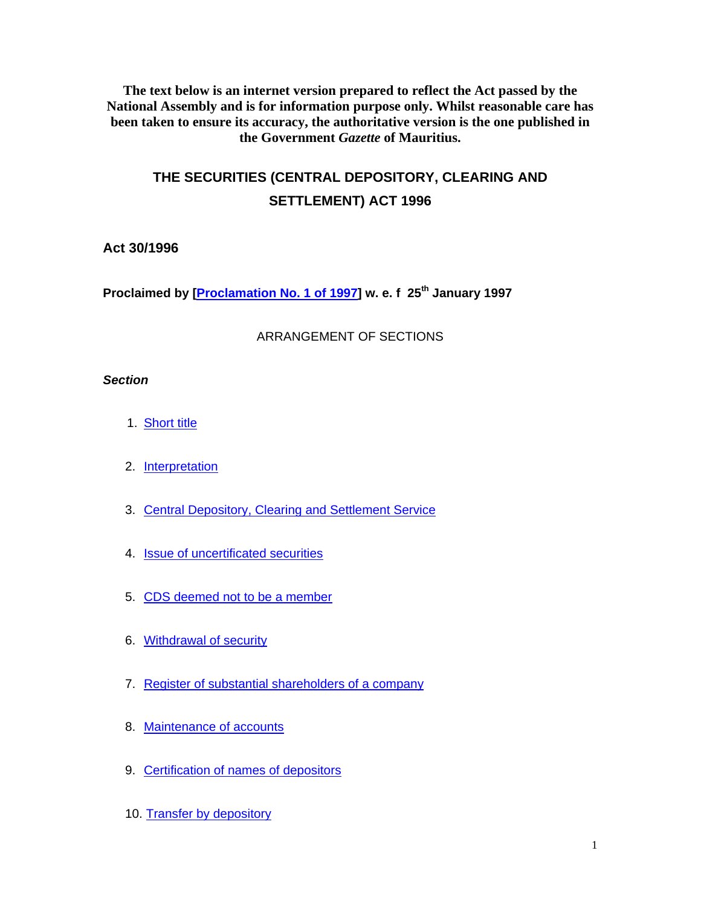**The text below is an internet version prepared to reflect the Act passed by the National Assembly and is for information purpose only. Whilst reasonable care has been taken to ensure its accuracy, the authoritative version is the one published in the Government** *Gazette* **of Mauritius.** 

# **THE SECURITIES (CENTRAL DEPOSITORY, CLEARING AND SETTLEMENT) ACT 1996**

# **Act 30/1996**

**Proclaimed by [Proclamation No. 1 of 1997] w. e. f 25th January 1997** 

# ARRANGEMENT OF SECTIONS

# *Section*

- 1. Short title
- 2. Interpretation
- 3. Central Depository, Clearing and Settlement Service
- 4. Issue of uncertificated securities
- 5. CDS deemed not to be a member
- 6. Withdrawal of security
- 7. Register of substantial shareholders of a company
- 8. Maintenance of accounts
- 9. Certification of names of depositors
- 10. Transfer by depository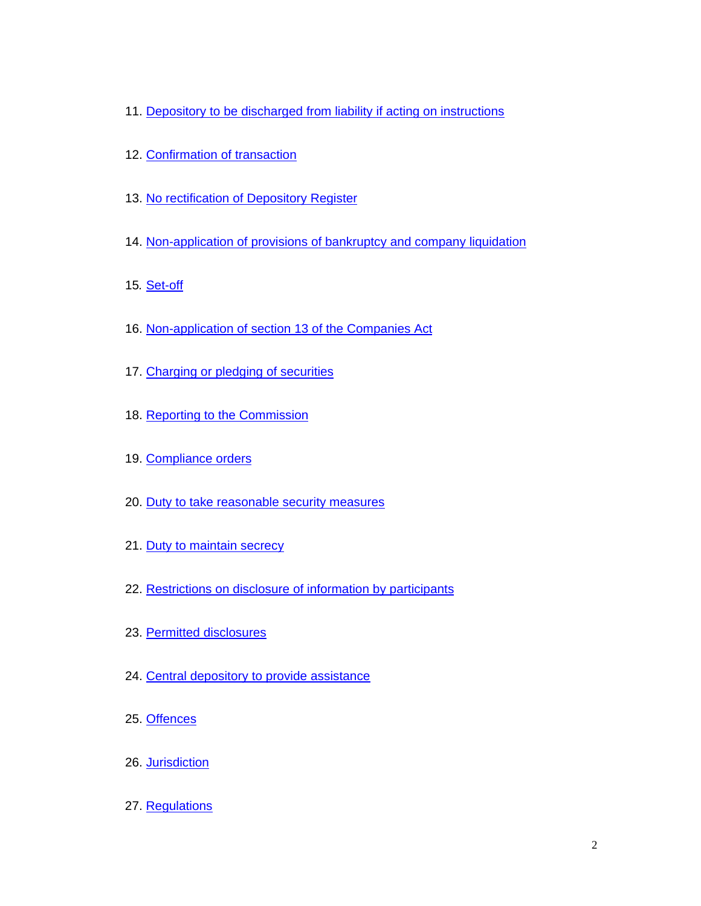- 11. Depository to be discharged from liability if acting on instructions
- 12. Confirmation of transaction
- 13. No rectification of Depository Register
- 14. Non-application of provisions of bankruptcy and company liquidation
- 15*.* Set-off
- 16. Non-application of section 13 of the Companies Act
- 17. Charging or pledging of securities
- 18. Reporting to the Commission
- 19. Compliance orders
- 20. Duty to take reasonable security measures
- 21. Duty to maintain secrecy
- 22. Restrictions on disclosure of information by participants
- 23. Permitted disclosures
- 24. Central depository to provide assistance
- 25. Offences
- 26. Jurisdiction
- 27. Regulations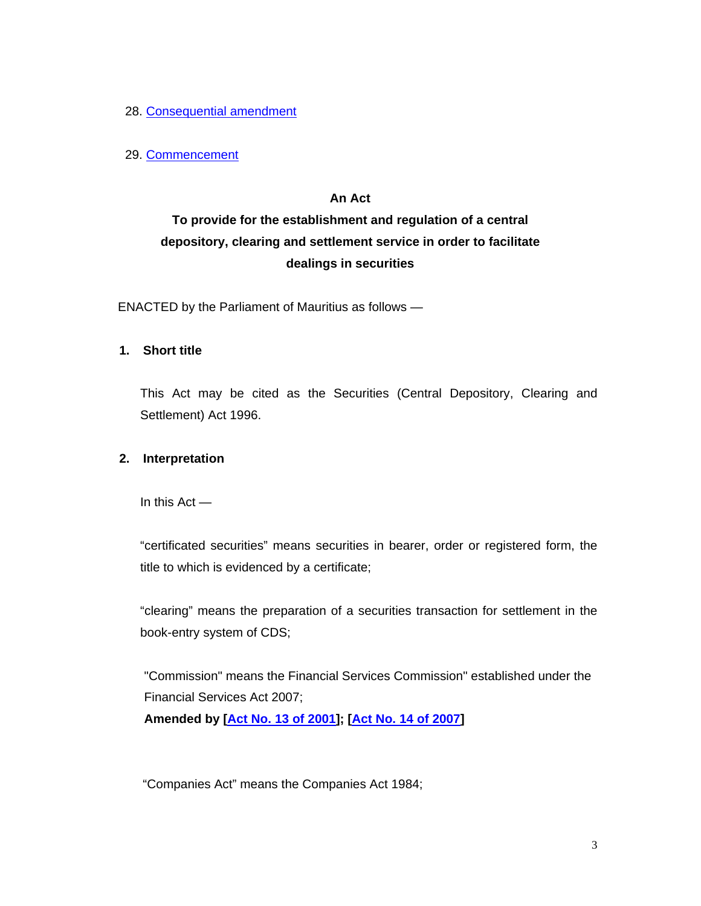28. Consequential amendment

## 29. Commencement

## **An Act**

# **To provide for the establishment and regulation of a central depository, clearing and settlement service in order to facilitate dealings in securities**

ENACTED by the Parliament of Mauritius as follows —

## **1. Short title**

This Act may be cited as the Securities (Central Depository, Clearing and Settlement) Act 1996.

## **2. Interpretation**

In this Act —

"certificated securities" means securities in bearer, order or registered form, the title to which is evidenced by a certificate;

"clearing" means the preparation of a securities transaction for settlement in the book-entry system of CDS;

"Commission" means the Financial Services Commission" established under the Financial Services Act 2007;

**Amended by [Act No. 13 of 2001]; [Act No. 14 of 2007]**

"Companies Act" means the Companies Act 1984;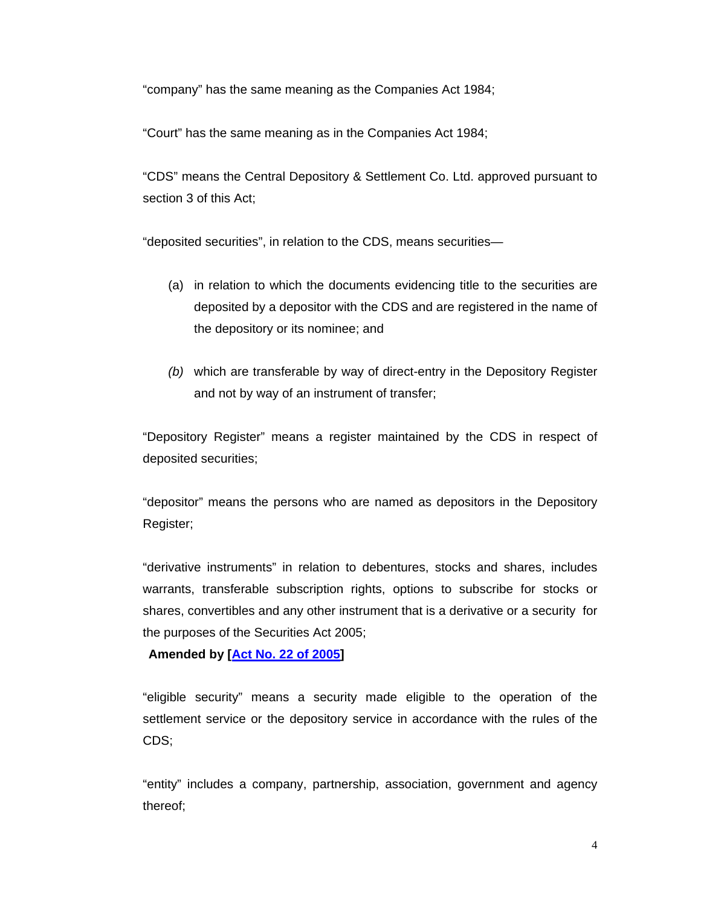"company" has the same meaning as the Companies Act 1984;

"Court" has the same meaning as in the Companies Act 1984;

"CDS" means the Central Depository & Settlement Co. Ltd. approved pursuant to section 3 of this Act;

"deposited securities", in relation to the CDS, means securities—

- (a) in relation to which the documents evidencing title to the securities are deposited by a depositor with the CDS and are registered in the name of the depository or its nominee; and
- *(b)* which are transferable by way of direct-entry in the Depository Register and not by way of an instrument of transfer;

"Depository Register" means a register maintained by the CDS in respect of deposited securities;

"depositor" means the persons who are named as depositors in the Depository Register;

"derivative instruments" in relation to debentures, stocks and shares, includes warrants, transferable subscription rights, options to subscribe for stocks or shares, convertibles and any other instrument that is a derivative or a security for the purposes of the Securities Act 2005;

**Amended by [Act No. 22 of 2005]** 

"eligible security" means a security made eligible to the operation of the settlement service or the depository service in accordance with the rules of the CDS;

"entity" includes a company, partnership, association, government and agency thereof;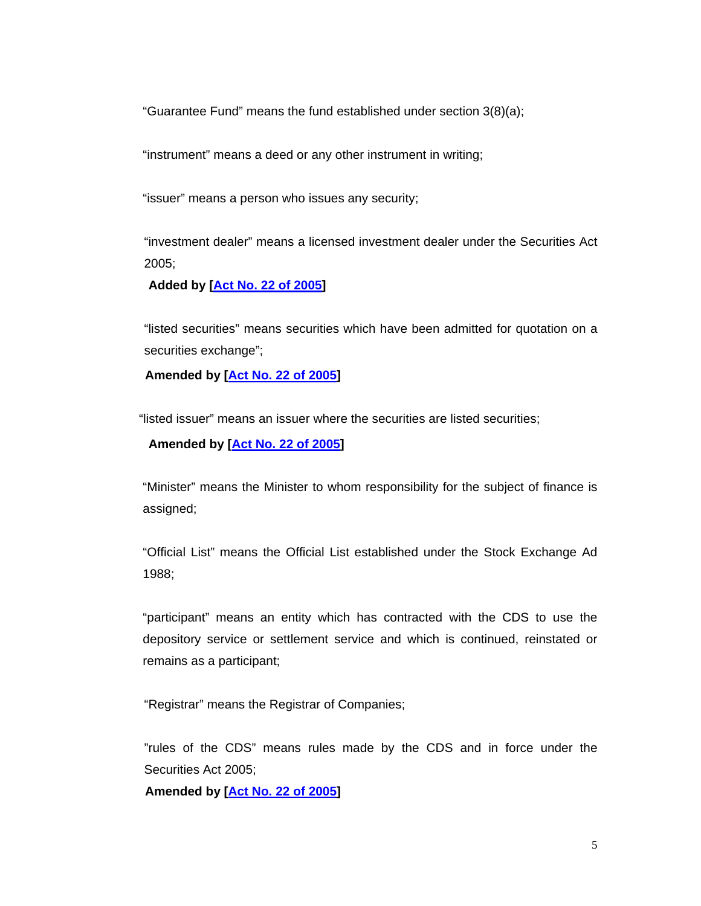"Guarantee Fund" means the fund established under section 3(8)(a);

"instrument" means a deed or any other instrument in writing;

"issuer" means a person who issues any security;

"investment dealer" means a licensed investment dealer under the Securities Act 2005;

 **Added by [Act No. 22 of 2005]** 

"listed securities" means securities which have been admitted for quotation on a securities exchange";

 **Amended by [Act No. 22 of 2005]** 

"listed issuer" means an issuer where the securities are listed securities;

 **Amended by [Act No. 22 of 2005]** 

"Minister" means the Minister to whom responsibility for the subject of finance is assigned;

"Official List" means the Official List established under the Stock Exchange Ad 1988;

"participant" means an entity which has contracted with the CDS to use the depository service or settlement service and which is continued, reinstated or remains as a participant;

"Registrar" means the Registrar of Companies;

"rules of the CDS" means rules made by the CDS and in force under the Securities Act 2005;

 **Amended by [Act No. 22 of 2005]**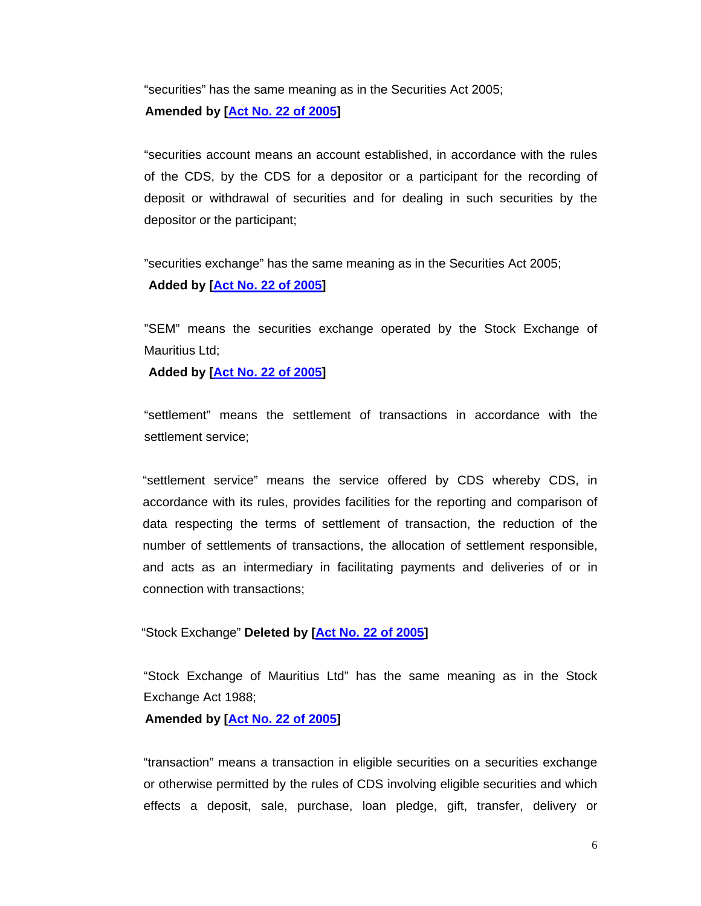"securities" has the same meaning as in the Securities Act 2005;  **Amended by [Act No. 22 of 2005]** 

"securities account means an account established, in accordance with the rules of the CDS, by the CDS for a depositor or a participant for the recording of deposit or withdrawal of securities and for dealing in such securities by the depositor or the participant;

"securities exchange" has the same meaning as in the Securities Act 2005;  **Added by [Act No. 22 of 2005]** 

"SEM" means the securities exchange operated by the Stock Exchange of Mauritius Ltd:

 **Added by [Act No. 22 of 2005]** 

"settlement" means the settlement of transactions in accordance with the settlement service;

"settlement service" means the service offered by CDS whereby CDS, in accordance with its rules, provides facilities for the reporting and comparison of data respecting the terms of settlement of transaction, the reduction of the number of settlements of transactions, the allocation of settlement responsible, and acts as an intermediary in facilitating payments and deliveries of or in connection with transactions;

"Stock Exchange" **Deleted by [Act No. 22 of 2005]** 

"Stock Exchange of Mauritius Ltd" has the same meaning as in the Stock Exchange Act 1988;

 **Amended by [Act No. 22 of 2005]** 

"transaction" means a transaction in eligible securities on a securities exchange or otherwise permitted by the rules of CDS involving eligible securities and which effects a deposit, sale, purchase, loan pledge, gift, transfer, delivery or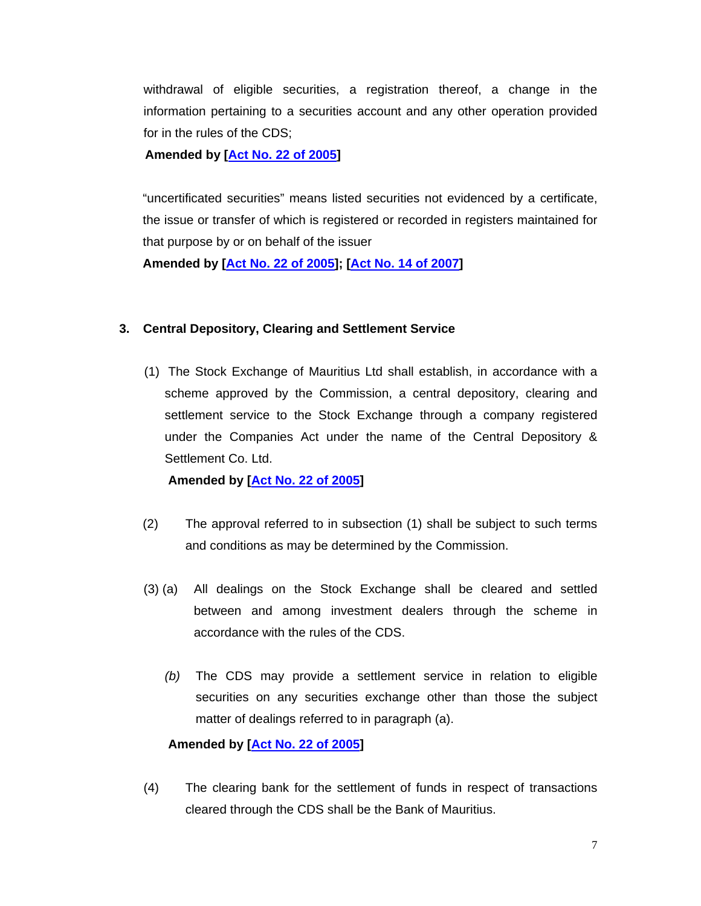withdrawal of eligible securities, a registration thereof, a change in the information pertaining to a securities account and any other operation provided for in the rules of the CDS;

 **Amended by [Act No. 22 of 2005]** 

"uncertificated securities" means listed securities not evidenced by a certificate, the issue or transfer of which is registered or recorded in registers maintained for that purpose by or on behalf of the issuer

**Amended by [Act No. 22 of 2005]; [Act No. 14 of 2007]** 

#### **3. Central Depository, Clearing and Settlement Service**

(1) The Stock Exchange of Mauritius Ltd shall establish, in accordance with a scheme approved by the Commission, a central depository, clearing and settlement service to the Stock Exchange through a company registered under the Companies Act under the name of the Central Depository & Settlement Co. Ltd.

 **Amended by [Act No. 22 of 2005]** 

- (2) The approval referred to in subsection (1) shall be subject to such terms and conditions as may be determined by the Commission.
- (3) (a) All dealings on the Stock Exchange shall be cleared and settled between and among investment dealers through the scheme in accordance with the rules of the CDS.
	- *(b)* The CDS may provide a settlement service in relation to eligible securities on any securities exchange other than those the subject matter of dealings referred to in paragraph (a).

## **Amended by [Act No. 22 of 2005]**

(4) The clearing bank for the settlement of funds in respect of transactions cleared through the CDS shall be the Bank of Mauritius.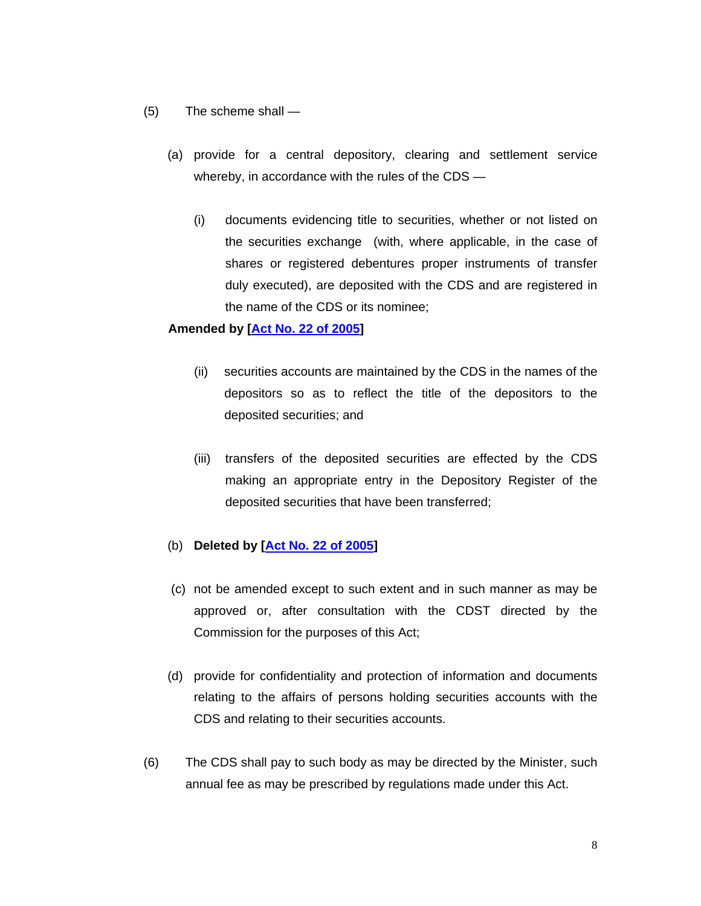- (5)The scheme shall
	- (a) provide for a central depository, clearing and settlement service whereby, in accordance with the rules of the CDS —
		- (i) documents evidencing title to securities, whether or not listed on the securities exchange (with, where applicable, in the case of shares or registered debentures proper instruments of transfer duly executed), are deposited with the CDS and are registered in the name of the CDS or its nominee;

## **Amended by [Act No. 22 of 2005]**

- (ii) securities accounts are maintained by the CDS in the names of the depositors so as to reflect the title of the depositors to the deposited securities; and
- (iii) transfers of the deposited securities are effected by the CDS making an appropriate entry in the Depository Register of the deposited securities that have been transferred;

## (b) **Deleted by [Act No. 22 of 2005]**

- (c) not be amended except to such extent and in such manner as may be approved or, after consultation with the CDST directed by the Commission for the purposes of this Act;
- (d) provide for confidentiality and protection of information and documents relating to the affairs of persons holding securities accounts with the CDS and relating to their securities accounts.
- (6) The CDS shall pay to such body as may be directed by the Minister, such annual fee as may be prescribed by regulations made under this Act.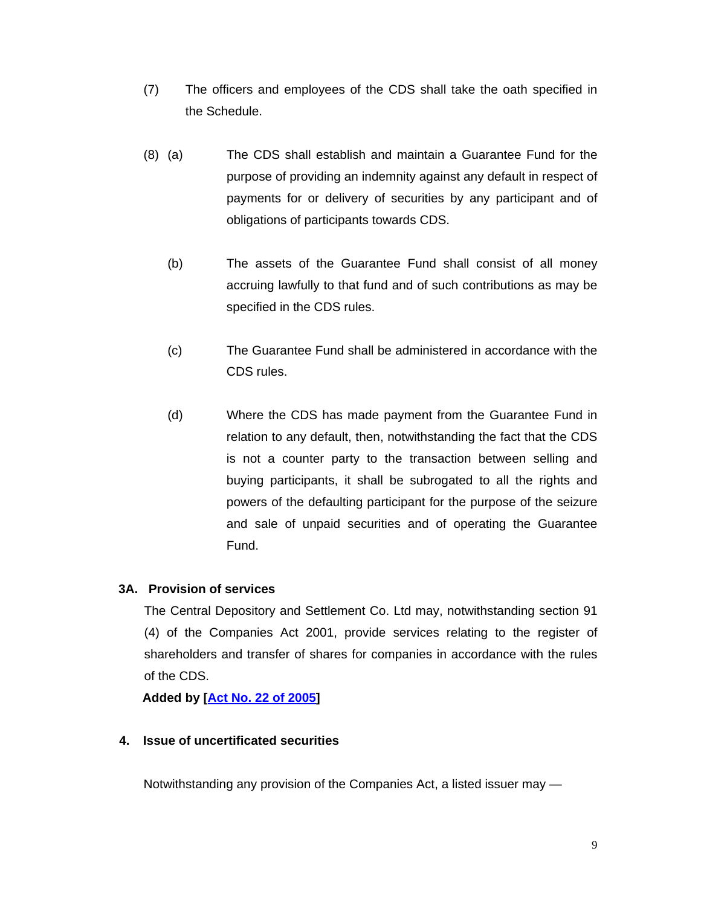- (7) The officers and employees of the CDS shall take the oath specified in the Schedule.
- (8) (a) The CDS shall establish and maintain a Guarantee Fund for the purpose of providing an indemnity against any default in respect of payments for or delivery of securities by any participant and of obligations of participants towards CDS.
	- (b)The assets of the Guarantee Fund shall consist of all money accruing lawfully to that fund and of such contributions as may be specified in the CDS rules.
	- (c) The Guarantee Fund shall be administered in accordance with the CDS rules.
	- (d) Where the CDS has made payment from the Guarantee Fund in relation to any default, then, notwithstanding the fact that the CDS is not a counter party to the transaction between selling and buying participants, it shall be subrogated to all the rights and powers of the defaulting participant for the purpose of the seizure and sale of unpaid securities and of operating the Guarantee Fund.

# **3A. Provision of services**

The Central Depository and Settlement Co. Ltd may, notwithstanding section 91 (4) of the Companies Act 2001, provide services relating to the register of shareholders and transfer of shares for companies in accordance with the rules of the CDS.

 **Added by [Act No. 22 of 2005]**

# **4. Issue of uncertificated securities**

Notwithstanding any provision of the Companies Act, a listed issuer may —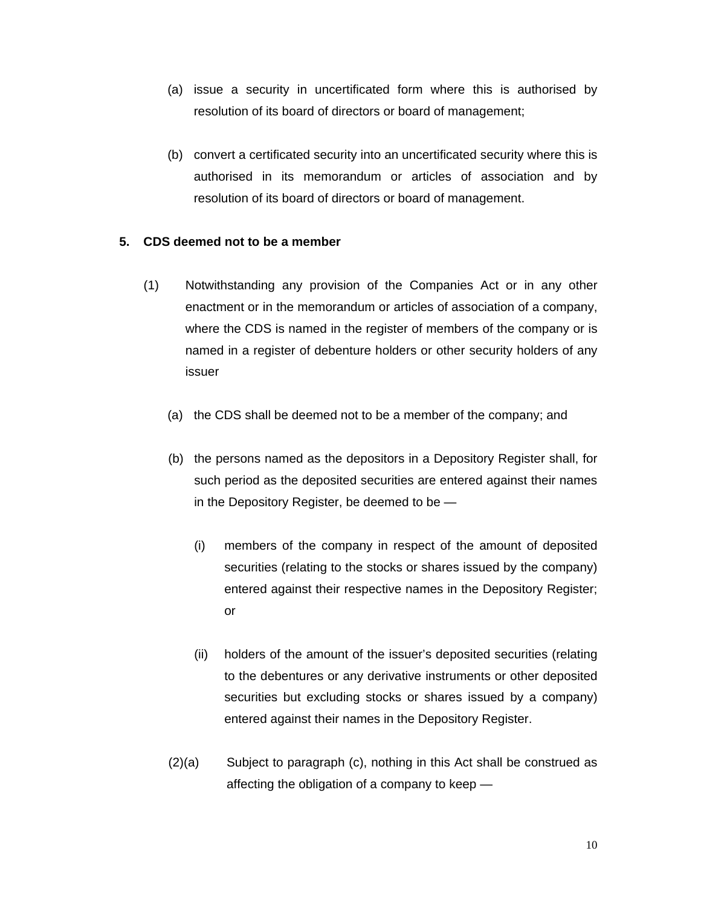- (a) issue a security in uncertificated form where this is authorised by resolution of its board of directors or board of management;
- (b) convert a certificated security into an uncertificated security where this is authorised in its memorandum or articles of association and by resolution of its board of directors or board of management.

## **5. CDS deemed not to be a member**

- (1) Notwithstanding any provision of the Companies Act or in any other enactment or in the memorandum or articles of association of a company, where the CDS is named in the register of members of the company or is named in a register of debenture holders or other security holders of any issuer
	- (a) the CDS shall be deemed not to be a member of the company; and
	- (b) the persons named as the depositors in a Depository Register shall, for such period as the deposited securities are entered against their names in the Depository Register, be deemed to be —
		- (i) members of the company in respect of the amount of deposited securities (relating to the stocks or shares issued by the company) entered against their respective names in the Depository Register; or
		- (ii) holders of the amount of the issuer's deposited securities (relating to the debentures or any derivative instruments or other deposited securities but excluding stocks or shares issued by a company) entered against their names in the Depository Register.
	- (2)(a) Subject to paragraph (c), nothing in this Act shall be construed as affecting the obligation of a company to keep —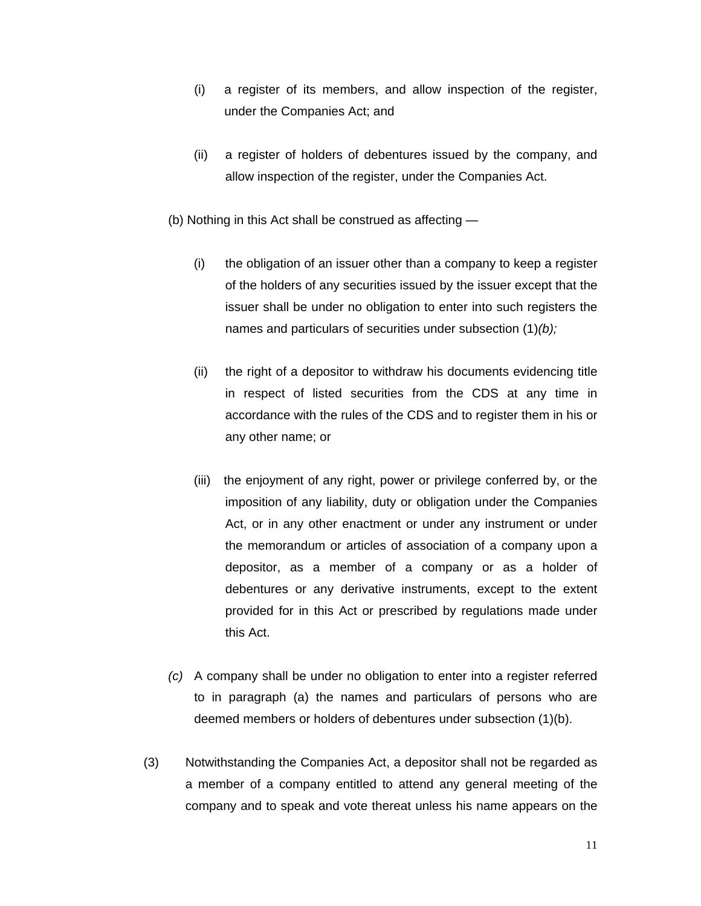- (i) a register of its members, and allow inspection of the register, under the Companies Act; and
- (ii) a register of holders of debentures issued by the company, and allow inspection of the register, under the Companies Act.
- (b) Nothing in this Act shall be construed as affecting
	- (i) the obligation of an issuer other than a company to keep a register of the holders of any securities issued by the issuer except that the issuer shall be under no obligation to enter into such registers the names and particulars of securities under subsection (1)*(b);*
	- (ii) the right of a depositor to withdraw his documents evidencing title in respect of listed securities from the CDS at any time in accordance with the rules of the CDS and to register them in his or any other name; or
	- (iii) the enjoyment of any right, power or privilege conferred by, or the imposition of any liability, duty or obligation under the Companies Act, or in any other enactment or under any instrument or under the memorandum or articles of association of a company upon a depositor, as a member of a company or as a holder of debentures or any derivative instruments, except to the extent provided for in this Act or prescribed by regulations made under this Act.
- *(c)* A company shall be under no obligation to enter into a register referred to in paragraph (a) the names and particulars of persons who are deemed members or holders of debentures under subsection (1)(b).
- (3) Notwithstanding the Companies Act, a depositor shall not be regarded as a member of a company entitled to attend any general meeting of the company and to speak and vote thereat unless his name appears on the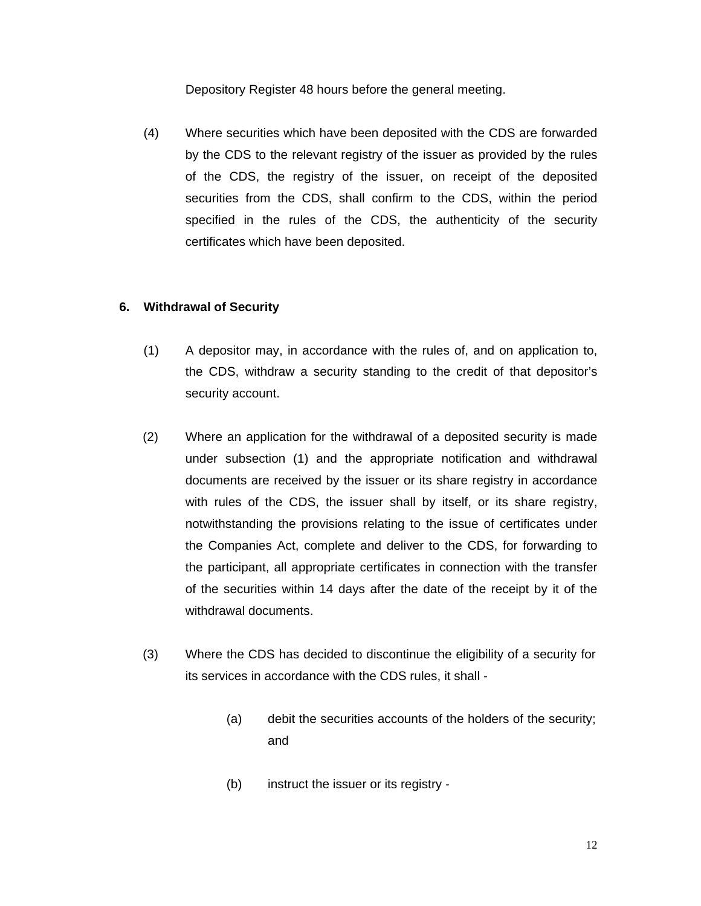Depository Register 48 hours before the general meeting.

(4) Where securities which have been deposited with the CDS are forwarded by the CDS to the relevant registry of the issuer as provided by the rules of the CDS, the registry of the issuer, on receipt of the deposited securities from the CDS, shall confirm to the CDS, within the period specified in the rules of the CDS, the authenticity of the security certificates which have been deposited.

## **6. Withdrawal of Security**

- (1) A depositor may, in accordance with the rules of, and on application to, the CDS, withdraw a security standing to the credit of that depositor's security account.
- (2) Where an application for the withdrawal of a deposited security is made under subsection (1) and the appropriate notification and withdrawal documents are received by the issuer or its share registry in accordance with rules of the CDS, the issuer shall by itself, or its share registry, notwithstanding the provisions relating to the issue of certificates under the Companies Act, complete and deliver to the CDS, for forwarding to the participant, all appropriate certificates in connection with the transfer of the securities within 14 days after the date of the receipt by it of the withdrawal documents.
- (3) Where the CDS has decided to discontinue the eligibility of a security for its services in accordance with the CDS rules, it shall -
	- (a) debit the securities accounts of the holders of the security; and
	- (b) instruct the issuer or its registry -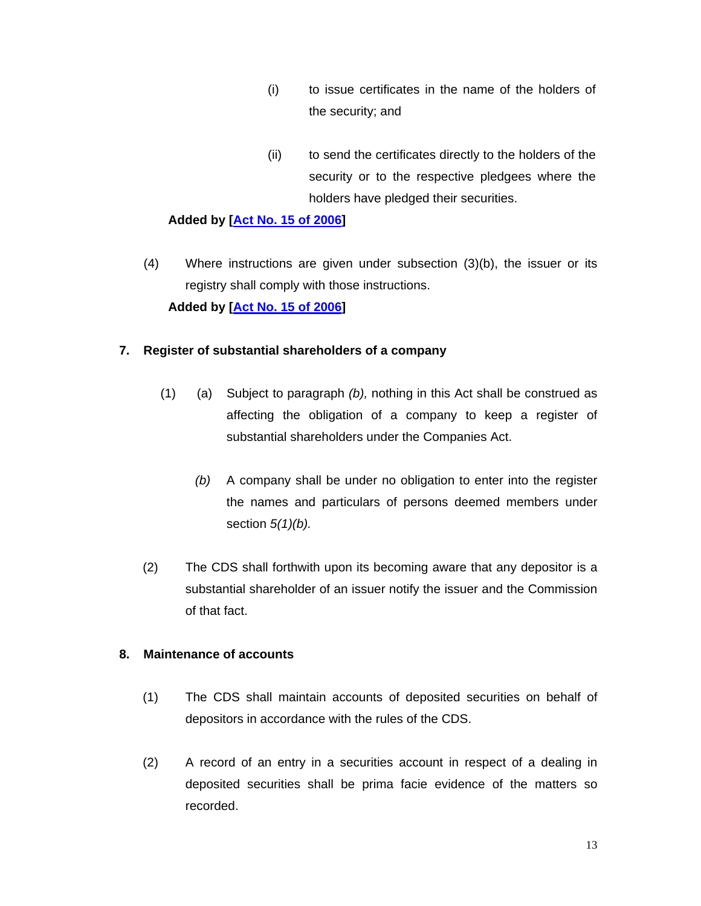- (i) to issue certificates in the name of the holders of the security; and
- (ii) to send the certificates directly to the holders of the security or to the respective pledgees where the holders have pledged their securities.

# **Added by [Act No. 15 of 2006]**

(4) Where instructions are given under subsection (3)(b), the issuer or its registry shall comply with those instructions.  **Added by [Act No. 15 of 2006]** 

# **7. Register of substantial shareholders of a company**

- (1) (a) Subject to paragraph *(b),* nothing in this Act shall be construed as affecting the obligation of a company to keep a register of substantial shareholders under the Companies Act.
	- *(b)* A company shall be under no obligation to enter into the register the names and particulars of persons deemed members under section *5(1)(b).*
- (2) The CDS shall forthwith upon its becoming aware that any depositor is a substantial shareholder of an issuer notify the issuer and the Commission of that fact.

# **8. Maintenance of accounts**

- (1) The CDS shall maintain accounts of deposited securities on behalf of depositors in accordance with the rules of the CDS.
- (2) A record of an entry in a securities account in respect of a dealing in deposited securities shall be prima facie evidence of the matters so recorded.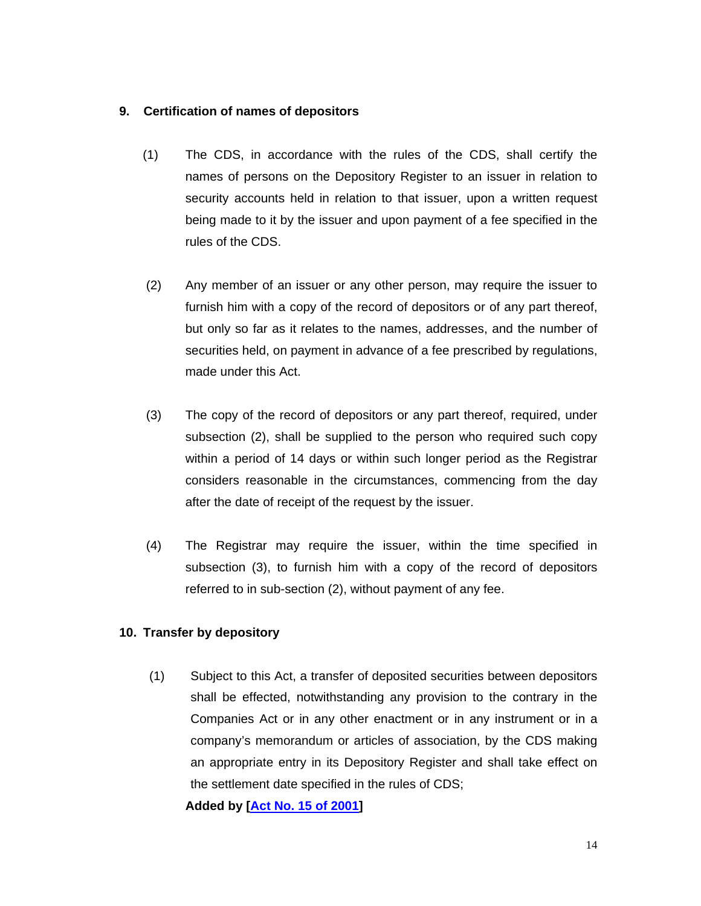## **9. Certification of names of depositors**

- (1) The CDS, in accordance with the rules of the CDS, shall certify the names of persons on the Depository Register to an issuer in relation to security accounts held in relation to that issuer, upon a written request being made to it by the issuer and upon payment of a fee specified in the rules of the CDS.
- (2) Any member of an issuer or any other person, may require the issuer to furnish him with a copy of the record of depositors or of any part thereof, but only so far as it relates to the names, addresses, and the number of securities held, on payment in advance of a fee prescribed by regulations, made under this Act.
- (3) The copy of the record of depositors or any part thereof, required, under subsection (2), shall be supplied to the person who required such copy within a period of 14 days or within such longer period as the Registrar considers reasonable in the circumstances, commencing from the day after the date of receipt of the request by the issuer.
- (4) The Registrar may require the issuer, within the time specified in subsection (3), to furnish him with a copy of the record of depositors referred to in sub-section (2), without payment of any fee.

# **10. Transfer by depository**

(1) Subject to this Act, a transfer of deposited securities between depositors shall be effected, notwithstanding any provision to the contrary in the Companies Act or in any other enactment or in any instrument or in a company's memorandum or articles of association, by the CDS making an appropriate entry in its Depository Register and shall take effect on the settlement date specified in the rules of CDS;

**Added by [Act No. 15 of 2001]**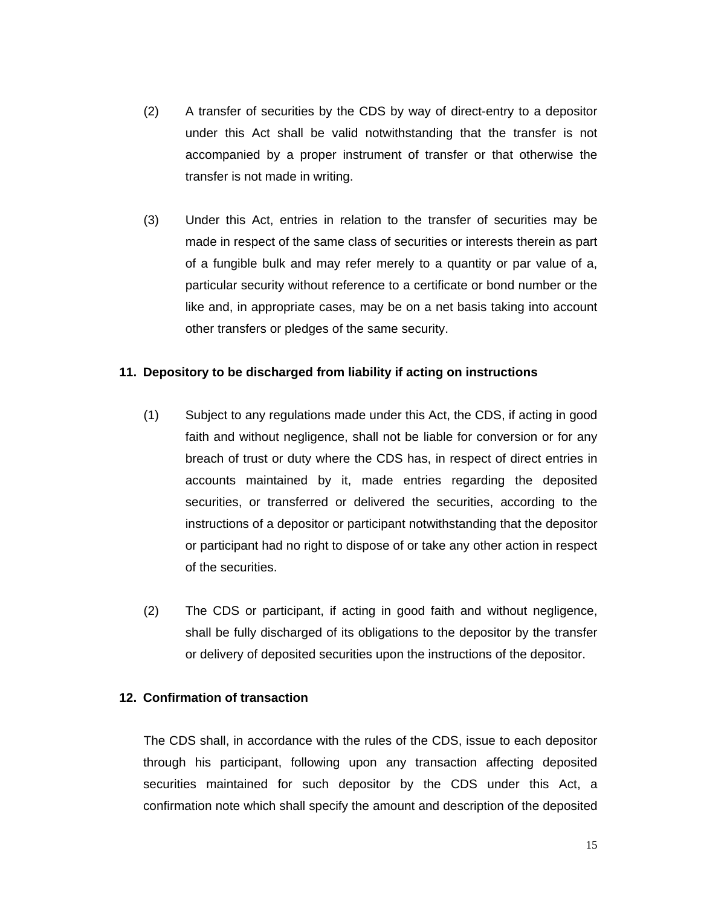- (2) A transfer of securities by the CDS by way of direct-entry to a depositor under this Act shall be valid notwithstanding that the transfer is not accompanied by a proper instrument of transfer or that otherwise the transfer is not made in writing.
- (3) Under this Act, entries in relation to the transfer of securities may be made in respect of the same class of securities or interests therein as part of a fungible bulk and may refer merely to a quantity or par value of a, particular security without reference to a certificate or bond number or the like and, in appropriate cases, may be on a net basis taking into account other transfers or pledges of the same security.

## **11. Depository to be discharged from liability if acting on instructions**

- (1) Subject to any regulations made under this Act, the CDS, if acting in good faith and without negligence, shall not be liable for conversion or for any breach of trust or duty where the CDS has, in respect of direct entries in accounts maintained by it, made entries regarding the deposited securities, or transferred or delivered the securities, according to the instructions of a depositor or participant notwithstanding that the depositor or participant had no right to dispose of or take any other action in respect of the securities.
- (2) The CDS or participant, if acting in good faith and without negligence, shall be fully discharged of its obligations to the depositor by the transfer or delivery of deposited securities upon the instructions of the depositor.

## **12. Confirmation of transaction**

The CDS shall, in accordance with the rules of the CDS, issue to each depositor through his participant, following upon any transaction affecting deposited securities maintained for such depositor by the CDS under this Act, a confirmation note which shall specify the amount and description of the deposited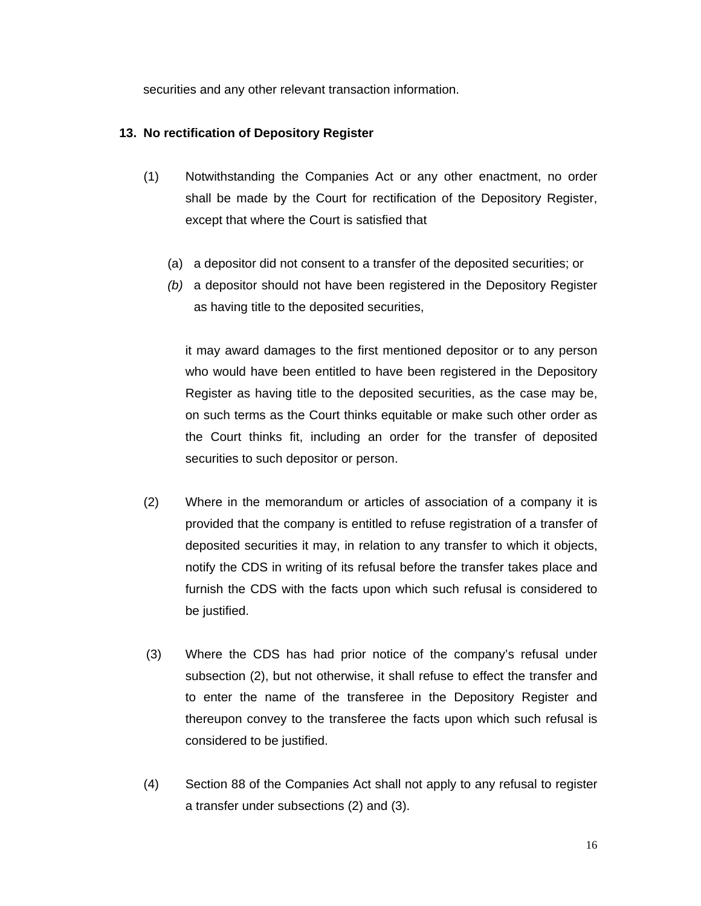securities and any other relevant transaction information.

# **13. No rectification of Depository Register**

- (1) Notwithstanding the Companies Act or any other enactment, no order shall be made by the Court for rectification of the Depository Register, except that where the Court is satisfied that
	- (a) a depositor did not consent to a transfer of the deposited securities; or
	- *(b)* a depositor should not have been registered in the Depository Register as having title to the deposited securities,

it may award damages to the first mentioned depositor or to any person who would have been entitled to have been registered in the Depository Register as having title to the deposited securities, as the case may be, on such terms as the Court thinks equitable or make such other order as the Court thinks fit, including an order for the transfer of deposited securities to such depositor or person.

- (2) Where in the memorandum or articles of association of a company it is provided that the company is entitled to refuse registration of a transfer of deposited securities it may, in relation to any transfer to which it objects, notify the CDS in writing of its refusal before the transfer takes place and furnish the CDS with the facts upon which such refusal is considered to be justified.
- (3) Where the CDS has had prior notice of the company's refusal under subsection (2), but not otherwise, it shall refuse to effect the transfer and to enter the name of the transferee in the Depository Register and thereupon convey to the transferee the facts upon which such refusal is considered to be justified.
- (4) Section 88 of the Companies Act shall not apply to any refusal to register a transfer under subsections (2) and (3).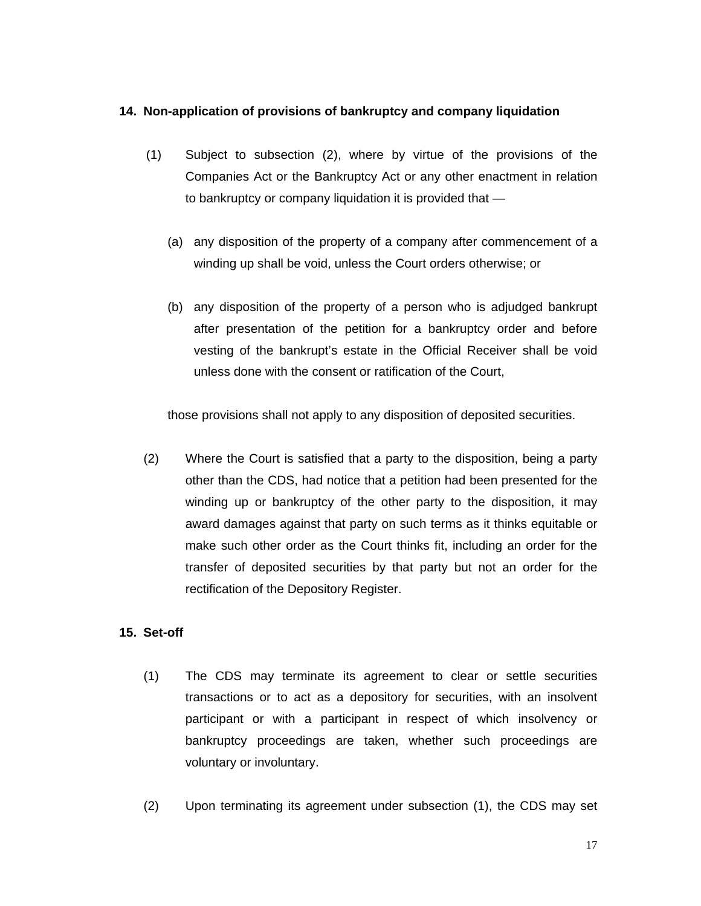## **14. Non-application of provisions of bankruptcy and company liquidation**

- (1) Subject to subsection (2), where by virtue of the provisions of the Companies Act or the Bankruptcy Act or any other enactment in relation to bankruptcy or company liquidation it is provided that —
	- (a) any disposition of the property of a company after commencement of a winding up shall be void, unless the Court orders otherwise; or
	- (b) any disposition of the property of a person who is adjudged bankrupt after presentation of the petition for a bankruptcy order and before vesting of the bankrupt's estate in the Official Receiver shall be void unless done with the consent or ratification of the Court,

those provisions shall not apply to any disposition of deposited securities.

(2) Where the Court is satisfied that a party to the disposition, being a party other than the CDS, had notice that a petition had been presented for the winding up or bankruptcy of the other party to the disposition, it may award damages against that party on such terms as it thinks equitable or make such other order as the Court thinks fit, including an order for the transfer of deposited securities by that party but not an order for the rectification of the Depository Register.

# **15. Set-off**

- (1) The CDS may terminate its agreement to clear or settle securities transactions or to act as a depository for securities, with an insolvent participant or with a participant in respect of which insolvency or bankruptcy proceedings are taken, whether such proceedings are voluntary or involuntary.
- (2) Upon terminating its agreement under subsection (1), the CDS may set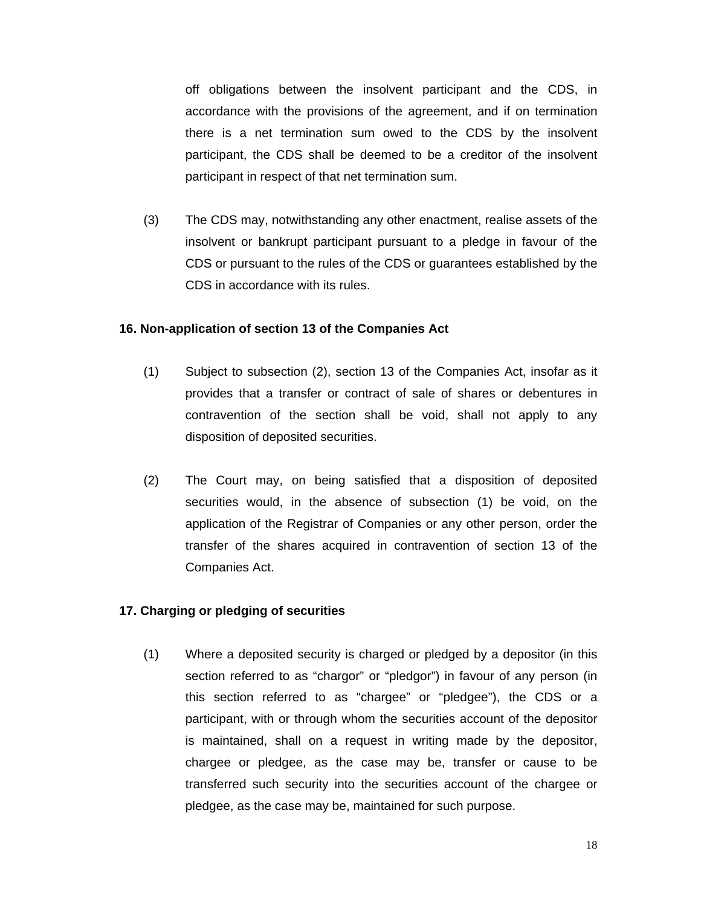off obligations between the insolvent participant and the CDS, in accordance with the provisions of the agreement, and if on termination there is a net termination sum owed to the CDS by the insolvent participant, the CDS shall be deemed to be a creditor of the insolvent participant in respect of that net termination sum.

(3) The CDS may, notwithstanding any other enactment, realise assets of the insolvent or bankrupt participant pursuant to a pledge in favour of the CDS or pursuant to the rules of the CDS or guarantees established by the CDS in accordance with its rules.

#### **16. Non-application of section 13 of the Companies Act**

- (1) Subject to subsection (2), section 13 of the Companies Act, insofar as it provides that a transfer or contract of sale of shares or debentures in contravention of the section shall be void, shall not apply to any disposition of deposited securities.
- (2) The Court may, on being satisfied that a disposition of deposited securities would, in the absence of subsection (1) be void, on the application of the Registrar of Companies or any other person, order the transfer of the shares acquired in contravention of section 13 of the Companies Act.

## **17. Charging or pledging of securities**

(1) Where a deposited security is charged or pledged by a depositor (in this section referred to as "chargor" or "pledgor") in favour of any person (in this section referred to as "chargee" or "pledgee"), the CDS or a participant, with or through whom the securities account of the depositor is maintained, shall on a request in writing made by the depositor, chargee or pledgee, as the case may be, transfer or cause to be transferred such security into the securities account of the chargee or pledgee, as the case may be, maintained for such purpose.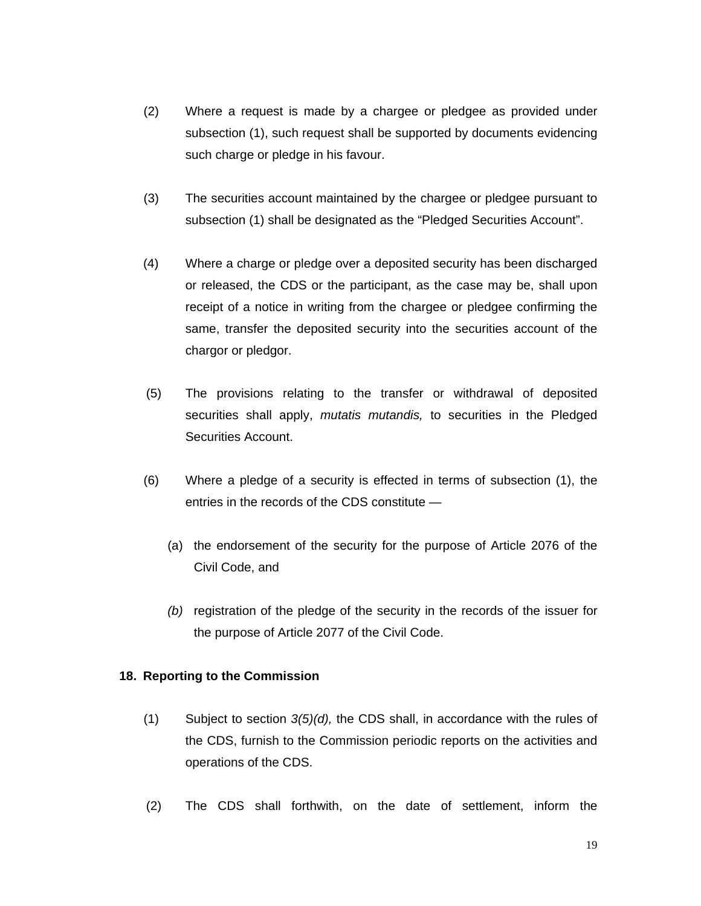- (2) Where a request is made by a chargee or pledgee as provided under subsection (1), such request shall be supported by documents evidencing such charge or pledge in his favour.
- (3) The securities account maintained by the chargee or pledgee pursuant to subsection (1) shall be designated as the "Pledged Securities Account".
- (4) Where a charge or pledge over a deposited security has been discharged or released, the CDS or the participant, as the case may be, shall upon receipt of a notice in writing from the chargee or pledgee confirming the same, transfer the deposited security into the securities account of the chargor or pledgor.
- (5) The provisions relating to the transfer or withdrawal of deposited securities shall apply, *mutatis mutandis,* to securities in the Pledged Securities Account.
- (6) Where a pledge of a security is effected in terms of subsection (1), the entries in the records of the CDS constitute —
	- (a) the endorsement of the security for the purpose of Article 2076 of the Civil Code, and
	- *(b)* registration of the pledge of the security in the records of the issuer for the purpose of Article 2077 of the Civil Code.

# **18. Reporting to the Commission**

- (1) Subject to section *3(5)(d),* the CDS shall, in accordance with the rules of the CDS, furnish to the Commission periodic reports on the activities and operations of the CDS.
- (2) The CDS shall forthwith, on the date of settlement, inform the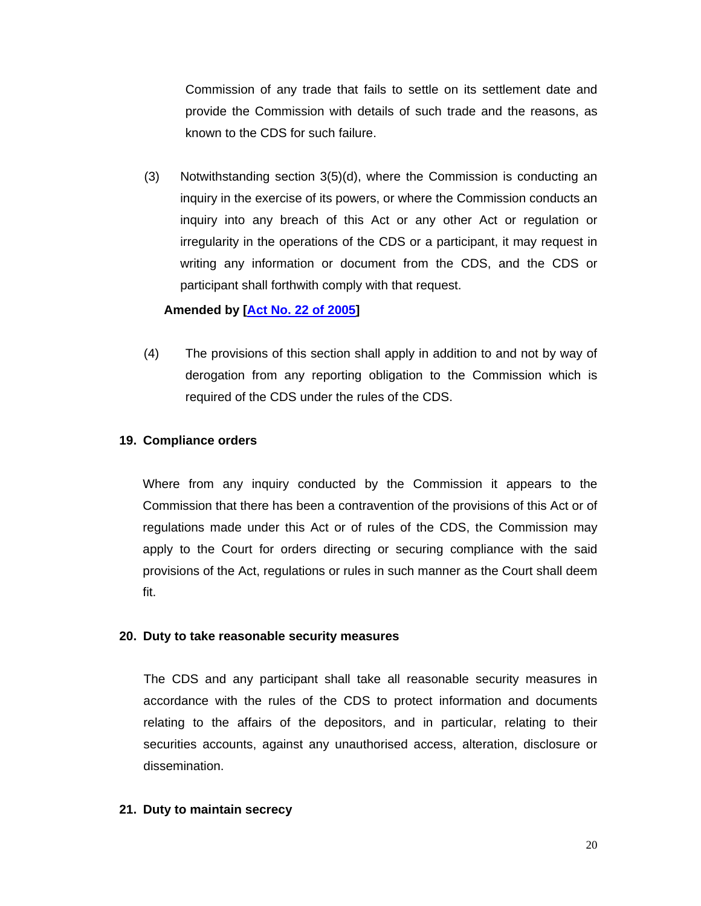Commission of any trade that fails to settle on its settlement date and provide the Commission with details of such trade and the reasons, as known to the CDS for such failure.

(3) Notwithstanding section 3(5)(d), where the Commission is conducting an inquiry in the exercise of its powers, or where the Commission conducts an inquiry into any breach of this Act or any other Act or regulation or irregularity in the operations of the CDS or a participant, it may request in writing any information or document from the CDS, and the CDS or participant shall forthwith comply with that request.

## **Amended by [Act No. 22 of 2005]**

 (4) The provisions of this section shall apply in addition to and not by way of derogation from any reporting obligation to the Commission which is required of the CDS under the rules of the CDS.

## **19. Compliance orders**

Where from any inquiry conducted by the Commission it appears to the Commission that there has been a contravention of the provisions of this Act or of regulations made under this Act or of rules of the CDS, the Commission may apply to the Court for orders directing or securing compliance with the said provisions of the Act, regulations or rules in such manner as the Court shall deem fit.

## **20. Duty to take reasonable security measures**

The CDS and any participant shall take all reasonable security measures in accordance with the rules of the CDS to protect information and documents relating to the affairs of the depositors, and in particular, relating to their securities accounts, against any unauthorised access, alteration, disclosure or dissemination.

## **21. Duty to maintain secrecy**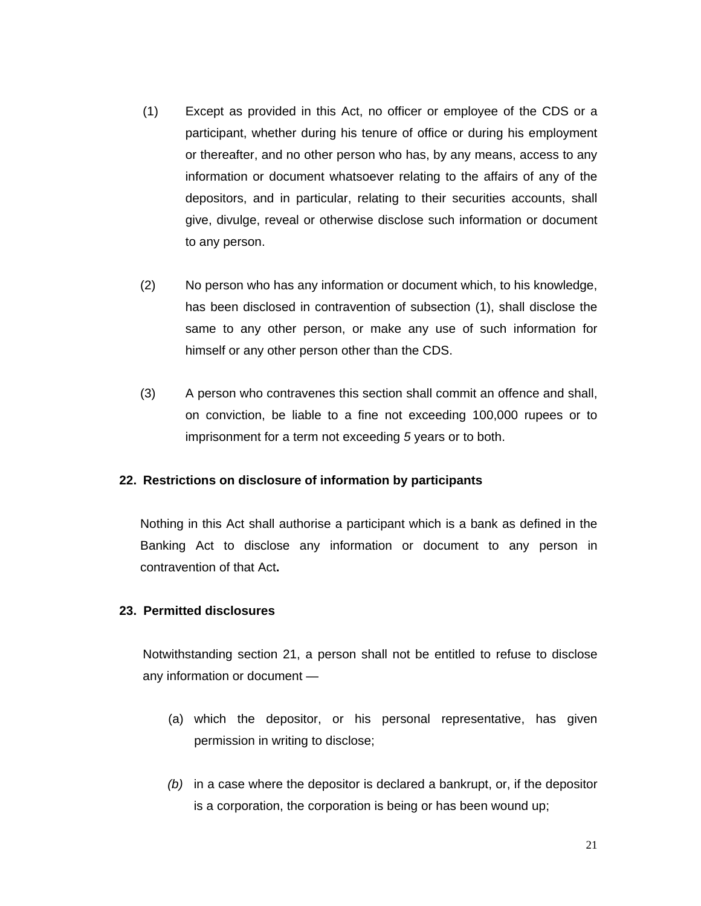- (1) Except as provided in this Act, no officer or employee of the CDS or a participant, whether during his tenure of office or during his employment or thereafter, and no other person who has, by any means, access to any information or document whatsoever relating to the affairs of any of the depositors, and in particular, relating to their securities accounts, shall give, divulge, reveal or otherwise disclose such information or document to any person.
- (2) No person who has any information or document which, to his knowledge, has been disclosed in contravention of subsection (1), shall disclose the same to any other person, or make any use of such information for himself or any other person other than the CDS.
- (3) A person who contravenes this section shall commit an offence and shall, on conviction, be liable to a fine not exceeding 100,000 rupees or to imprisonment for a term not exceeding *5* years or to both.

## **22. Restrictions on disclosure of information by participants**

Nothing in this Act shall authorise a participant which is a bank as defined in the Banking Act to disclose any information or document to any person in contravention of that Act**.** 

# **23. Permitted disclosures**

Notwithstanding section 21, a person shall not be entitled to refuse to disclose any information or document —

- (a) which the depositor, or his personal representative, has given permission in writing to disclose;
- *(b)* in a case where the depositor is declared a bankrupt, or, if the depositor is a corporation, the corporation is being or has been wound up;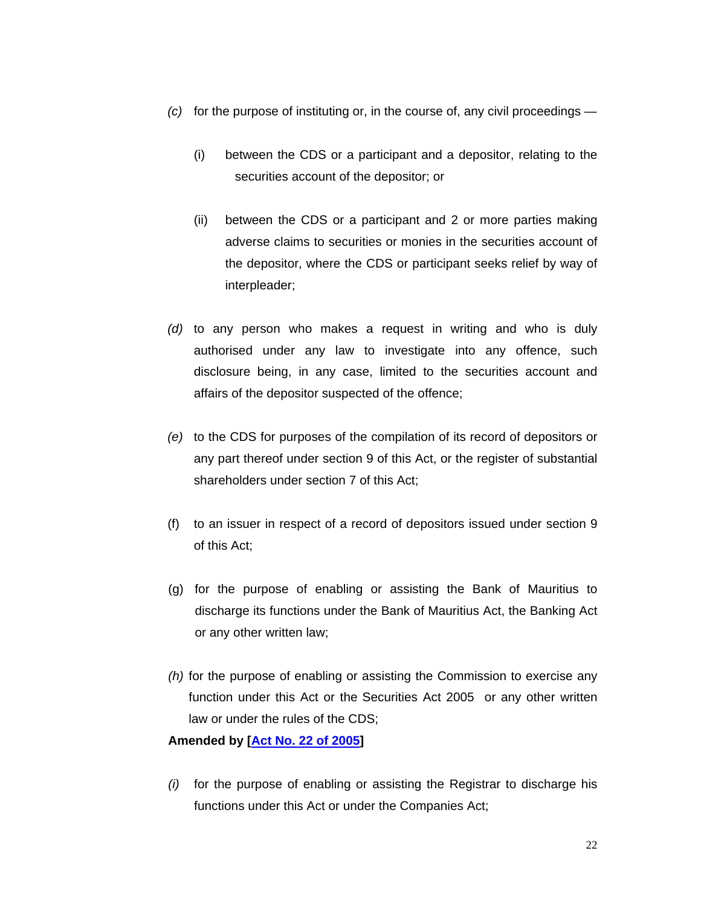- *(c)* for the purpose of instituting or, in the course of, any civil proceedings
	- (i) between the CDS or a participant and a depositor, relating to the securities account of the depositor; or
	- (ii) between the CDS or a participant and 2 or more parties making adverse claims to securities or monies in the securities account of the depositor, where the CDS or participant seeks relief by way of interpleader;
- *(d)* to any person who makes a request in writing and who is duly authorised under any law to investigate into any offence, such disclosure being, in any case, limited to the securities account and affairs of the depositor suspected of the offence;
- *(e)* to the CDS for purposes of the compilation of its record of depositors or any part thereof under section 9 of this Act, or the register of substantial shareholders under section 7 of this Act;
- (f) to an issuer in respect of a record of depositors issued under section 9 of this Act;
- (g) for the purpose of enabling or assisting the Bank of Mauritius to discharge its functions under the Bank of Mauritius Act, the Banking Act or any other written law;
- *(h)* for the purpose of enabling or assisting the Commission to exercise any function under this Act or the Securities Act 2005 or any other written law or under the rules of the CDS;

## **Amended by [Act No. 22 of 2005]**

*(i)* for the purpose of enabling or assisting the Registrar to discharge his functions under this Act or under the Companies Act;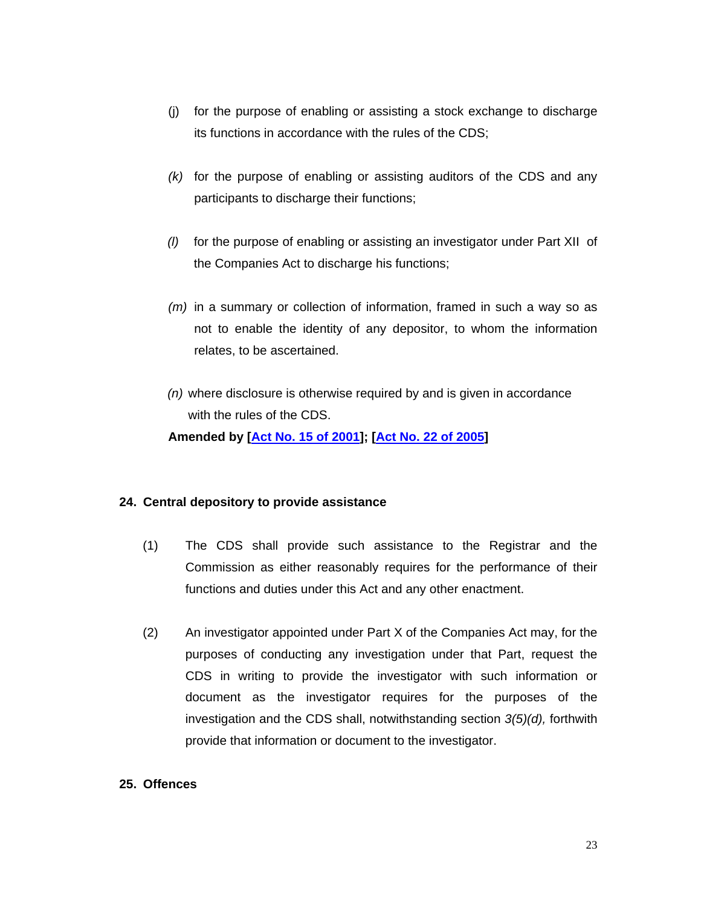- (j) for the purpose of enabling or assisting a stock exchange to discharge its functions in accordance with the rules of the CDS;
- *(k)* for the purpose of enabling or assisting auditors of the CDS and any participants to discharge their functions;
- *(l)* for the purpose of enabling or assisting an investigator under Part XII of the Companies Act to discharge his functions;
- *(m)* in a summary or collection of information, framed in such a way so as not to enable the identity of any depositor, to whom the information relates, to be ascertained.
- *(n)* where disclosure is otherwise required by and is given in accordance with the rules of the CDS.  **Amended by [Act No. 15 of 2001]; [Act No. 22 of 2005]**

## **24. Central depository to provide assistance**

- (1) The CDS shall provide such assistance to the Registrar and the Commission as either reasonably requires for the performance of their functions and duties under this Act and any other enactment.
- (2) An investigator appointed under Part X of the Companies Act may, for the purposes of conducting any investigation under that Part, request the CDS in writing to provide the investigator with such information or document as the investigator requires for the purposes of the investigation and the CDS shall, notwithstanding section *3(5)(d),* forthwith provide that information or document to the investigator.

## **25. Offences**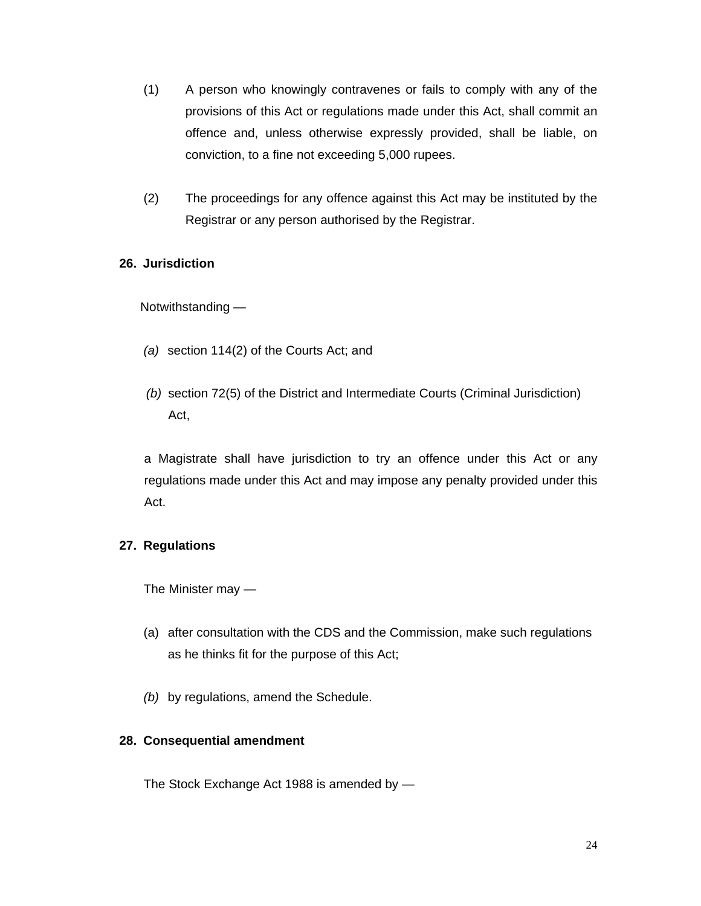- (1) A person who knowingly contravenes or fails to comply with any of the provisions of this Act or regulations made under this Act, shall commit an offence and, unless otherwise expressly provided, shall be liable, on conviction, to a fine not exceeding 5,000 rupees.
- (2) The proceedings for any offence against this Act may be instituted by the Registrar or any person authorised by the Registrar.

# **26. Jurisdiction**

Notwithstanding —

- *(a)* section 114(2) of the Courts Act; and
- *(b)* section 72(5) of the District and Intermediate Courts (Criminal Jurisdiction) Act,

 a Magistrate shall have jurisdiction to try an offence under this Act or any regulations made under this Act and may impose any penalty provided under this Act.

# **27. Regulations**

The Minister may —

- (a) after consultation with the CDS and the Commission, make such regulations as he thinks fit for the purpose of this Act;
- *(b)* by regulations, amend the Schedule.

# **28. Consequential amendment**

The Stock Exchange Act 1988 is amended by —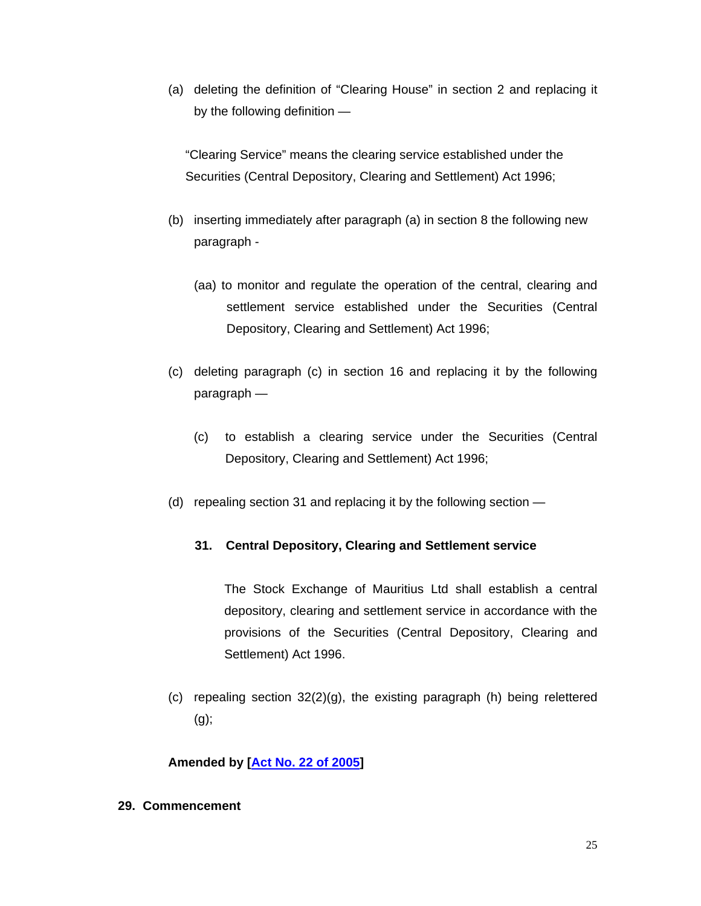(a) deleting the definition of "Clearing House" in section 2 and replacing it by the following definition —

"Clearing Service" means the clearing service established under the Securities (Central Depository, Clearing and Settlement) Act 1996;

- (b) inserting immediately after paragraph (a) in section 8 the following new paragraph -
	- (aa) to monitor and regulate the operation of the central, clearing and settlement service established under the Securities (Central Depository, Clearing and Settlement) Act 1996;
- (c) deleting paragraph (c) in section 16 and replacing it by the following paragraph —
	- (c) to establish a clearing service under the Securities (Central Depository, Clearing and Settlement) Act 1996;
- (d) repealing section 31 and replacing it by the following section —

# **31. Central Depository, Clearing and Settlement service**

The Stock Exchange of Mauritius Ltd shall establish a central depository, clearing and settlement service in accordance with the provisions of the Securities (Central Depository, Clearing and Settlement) Act 1996.

(c) repealing section 32(2)(g), the existing paragraph (h) being relettered (g);

# **Amended by [Act No. 22 of 2005]**

**29. Commencement**